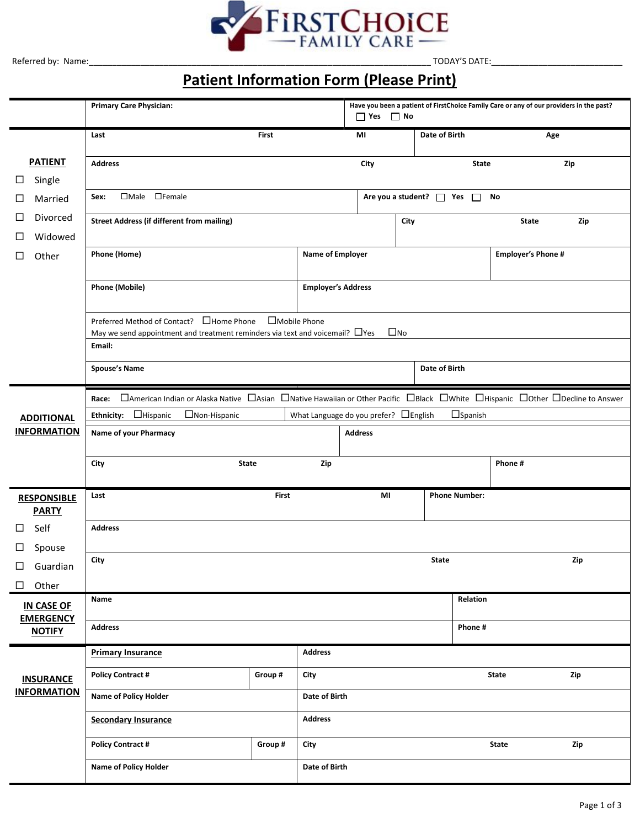

# **Patient Information Form (Please Print)**

|                                                      | <b>Primary Care Physician:</b>                                                                                                                                                                                |                        | Have you been a patient of FirstChoice Family Care or any of our providers in the past?<br>$\Box$ Yes $\Box$ No |                |                                      |                                                      |                   |         |     |
|------------------------------------------------------|---------------------------------------------------------------------------------------------------------------------------------------------------------------------------------------------------------------|------------------------|-----------------------------------------------------------------------------------------------------------------|----------------|--------------------------------------|------------------------------------------------------|-------------------|---------|-----|
|                                                      | Last                                                                                                                                                                                                          | <b>First</b>           |                                                                                                                 | MI             |                                      | Date of Birth                                        |                   |         | Age |
| <b>PATIENT</b><br>Single<br>⊔                        | <b>Address</b>                                                                                                                                                                                                |                        |                                                                                                                 | City           |                                      |                                                      | <b>State</b>      |         | Zip |
| Married<br>ப                                         | □Male □Female<br>Sex:                                                                                                                                                                                         |                        |                                                                                                                 |                | Are you a student? $\Box$ Yes $\Box$ |                                                      | No                |         |     |
| Divorced<br>⊔<br>Widowed<br>□                        | <b>Street Address (if different from mailing)</b>                                                                                                                                                             |                        |                                                                                                                 | City           |                                      |                                                      | <b>State</b>      | Zip     |     |
| Other<br>□                                           | Phone (Home)                                                                                                                                                                                                  |                        |                                                                                                                 |                |                                      | <b>Name of Employer</b><br><b>Employer's Phone #</b> |                   |         |     |
|                                                      | <b>Phone (Mobile)</b>                                                                                                                                                                                         |                        | <b>Employer's Address</b>                                                                                       |                |                                      |                                                      |                   |         |     |
|                                                      | Preferred Method of Contact? □ Home Phone<br>May we send appointment and treatment reminders via text and voicemail? $\Box$ Yes<br>Email:                                                                     | $\square$ Mobile Phone |                                                                                                                 |                | $\square$ No                         |                                                      |                   |         |     |
|                                                      | <b>Spouse's Name</b>                                                                                                                                                                                          |                        |                                                                                                                 |                |                                      | Date of Birth                                        |                   |         |     |
| <b>ADDITIONAL</b><br><b>INFORMATION</b>              | □American Indian or Alaska Native □Asian □Native Hawaiian or Other Pacific □Black □White □Hispanic □Other □Decline to Answer<br>Race:<br>Ethnicity: $\Box$ Hispanic<br>□Non-Hispanic<br>Name of your Pharmacy |                        | What Language do you prefer? <b>DEnglish</b>                                                                    | <b>Address</b> |                                      |                                                      | $\square$ Spanish |         |     |
|                                                      | City<br>State                                                                                                                                                                                                 |                        | Zip                                                                                                             |                |                                      |                                                      |                   | Phone # |     |
| <b>RESPONSIBLE</b>                                   | Last                                                                                                                                                                                                          | First                  |                                                                                                                 | MI             |                                      | <b>Phone Number:</b>                                 |                   |         |     |
| <b>PARTY</b><br>Self<br>□                            | <b>Address</b>                                                                                                                                                                                                |                        |                                                                                                                 |                |                                      |                                                      |                   |         |     |
| Spouse<br>⊔<br>$\square$ Guardian<br>Other<br>$\Box$ | City                                                                                                                                                                                                          |                        |                                                                                                                 |                |                                      | <b>State</b>                                         |                   |         | Zip |
| <b>IN CASE OF</b>                                    | Name                                                                                                                                                                                                          |                        |                                                                                                                 |                |                                      |                                                      | Relation          |         |     |
| <b>EMERGENCY</b><br><b>NOTIFY</b>                    | <b>Address</b>                                                                                                                                                                                                |                        |                                                                                                                 |                |                                      |                                                      | Phone #           |         |     |
|                                                      | <b>Primary Insurance</b>                                                                                                                                                                                      |                        | <b>Address</b>                                                                                                  |                |                                      |                                                      |                   |         |     |
| <b>INSURANCE</b>                                     | <b>Policy Contract #</b>                                                                                                                                                                                      | Group #                | City                                                                                                            |                |                                      |                                                      |                   | State   | Zip |
| <b>INFORMATION</b>                                   | Name of Policy Holder                                                                                                                                                                                         |                        | Date of Birth                                                                                                   |                |                                      |                                                      |                   |         |     |
|                                                      | <b>Secondary Insurance</b>                                                                                                                                                                                    |                        | <b>Address</b>                                                                                                  |                |                                      |                                                      |                   |         |     |
|                                                      | <b>Policy Contract #</b>                                                                                                                                                                                      | Group #                | City                                                                                                            |                |                                      |                                                      |                   | State   | Zip |
|                                                      | Name of Policy Holder                                                                                                                                                                                         |                        | Date of Birth                                                                                                   |                |                                      |                                                      |                   |         |     |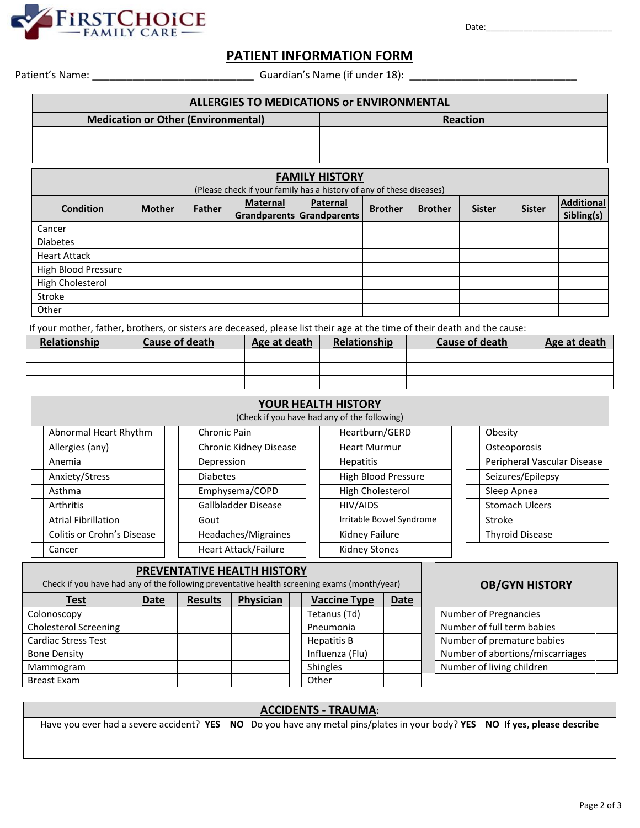

Date:\_\_\_\_\_\_\_\_\_\_\_\_\_\_\_\_\_\_\_\_\_\_\_\_\_\_\_

## **PATIENT INFORMATION FORM**

Patient's Name: \_\_\_\_\_\_\_\_\_\_\_\_\_\_\_\_\_\_\_\_\_\_\_\_\_\_\_\_ Guardian's Name (if under 18): \_\_\_\_\_\_\_\_\_\_\_\_\_\_\_\_\_\_\_\_\_\_\_\_\_\_\_\_\_

| <b>ALLERGIES TO MEDICATIONS OF ENVIRONMENTAL</b> |                                                                                            |  |  |  |                 |                |               |               |                          |  |  |
|--------------------------------------------------|--------------------------------------------------------------------------------------------|--|--|--|-----------------|----------------|---------------|---------------|--------------------------|--|--|
|                                                  | <b>Medication or Other (Environmental)</b>                                                 |  |  |  | <b>Reaction</b> |                |               |               |                          |  |  |
|                                                  |                                                                                            |  |  |  |                 |                |               |               |                          |  |  |
|                                                  |                                                                                            |  |  |  |                 |                |               |               |                          |  |  |
|                                                  |                                                                                            |  |  |  |                 |                |               |               |                          |  |  |
| <b>FAMILY HISTORY</b>                            |                                                                                            |  |  |  |                 |                |               |               |                          |  |  |
|                                                  | (Please check if your family has a history of any of these diseases)                       |  |  |  |                 |                |               |               |                          |  |  |
| <b>Condition</b>                                 | Paternal<br><b>Maternal</b><br><b>Mother</b><br><b>Father</b><br>Grandparents Grandparents |  |  |  |                 | <b>Brother</b> | <b>Sister</b> | <b>Sister</b> | Additional<br>Sibling(s) |  |  |
| Cancer                                           |                                                                                            |  |  |  |                 |                |               |               |                          |  |  |
| <b>Diabetes</b>                                  |                                                                                            |  |  |  |                 |                |               |               |                          |  |  |
| <b>Heart Attack</b>                              |                                                                                            |  |  |  |                 |                |               |               |                          |  |  |
| High Blood Pressure                              |                                                                                            |  |  |  |                 |                |               |               |                          |  |  |
| High Cholesterol                                 |                                                                                            |  |  |  |                 |                |               |               |                          |  |  |
| Stroke                                           |                                                                                            |  |  |  |                 |                |               |               |                          |  |  |
| Other                                            |                                                                                            |  |  |  |                 |                |               |               |                          |  |  |

If your mother, father, brothers, or sisters are deceased, please list their age at the time of their death and the cause:

| Relationship | Cause of death | Age at death | Relationship | Cause of death | Age at death |
|--------------|----------------|--------------|--------------|----------------|--------------|
|              |                |              |              |                |              |
|              |                |              |              |                |              |
|              |                |              |              |                |              |

| YOUR HEALTH HISTORY<br>(Check if you have had any of the following)       |                             |                            |                             |  |  |  |  |  |  |
|---------------------------------------------------------------------------|-----------------------------|----------------------------|-----------------------------|--|--|--|--|--|--|
| Heartburn/GERD<br>Abnormal Heart Rhythm<br><b>Chronic Pain</b><br>Obesity |                             |                            |                             |  |  |  |  |  |  |
| Allergies (any)                                                           | Chronic Kidney Disease      | <b>Heart Murmur</b>        | Osteoporosis                |  |  |  |  |  |  |
| Depression<br>Anemia                                                      |                             | <b>Hepatitis</b>           | Peripheral Vascular Disease |  |  |  |  |  |  |
| Anxiety/Stress<br><b>Diabetes</b>                                         |                             | <b>High Blood Pressure</b> | Seizures/Epilepsy           |  |  |  |  |  |  |
| Asthma                                                                    | Emphysema/COPD              | High Cholesterol           | Sleep Apnea                 |  |  |  |  |  |  |
| <b>Arthritis</b>                                                          | Gallbladder Disease         | HIV/AIDS                   | <b>Stomach Ulcers</b>       |  |  |  |  |  |  |
| <b>Atrial Fibrillation</b><br>Gout                                        |                             | Irritable Bowel Syndrome   | Stroke                      |  |  |  |  |  |  |
| Colitis or Crohn's Disease                                                | Headaches/Migraines         | Kidney Failure             | <b>Thyroid Disease</b>      |  |  |  |  |  |  |
| Cancer                                                                    | <b>Heart Attack/Failure</b> | <b>Kidney Stones</b>       |                             |  |  |  |  |  |  |

| PREVENTATIVE HEALTH HISTORY<br>Check if you have had any of the following preventative health screening exams (month/year) |             |                |           |                     |             | <b>OB/GYN HISTORY</b>            |
|----------------------------------------------------------------------------------------------------------------------------|-------------|----------------|-----------|---------------------|-------------|----------------------------------|
| <b>Test</b>                                                                                                                | <b>Date</b> | <b>Results</b> | Physician | <b>Vaccine Type</b> | <b>Date</b> |                                  |
| Colonoscopy                                                                                                                |             |                |           | Tetanus (Td)        |             | Number of Pregnancies            |
| <b>Cholesterol Screening</b>                                                                                               |             |                |           | Pneumonia           |             | Number of full term babies       |
| Cardiac Stress Test                                                                                                        |             |                |           | Hepatitis B         |             | Number of premature babies       |
| <b>Bone Density</b>                                                                                                        |             |                |           | Influenza (Flu)     |             | Number of abortions/miscarriages |
| Mammogram                                                                                                                  |             |                |           | <b>Shingles</b>     |             | Number of living children        |
| <b>Breast Exam</b>                                                                                                         |             |                |           | Other               |             |                                  |

# **ACCIDENTS - TRAUMA:**  Have you ever had a severe accident? **YES NO** Do you have any metal pins/plates in your body? **YES NO If yes, please describe**